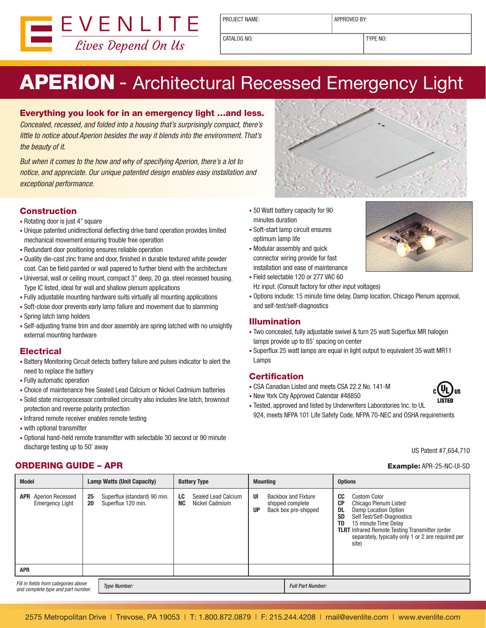

PROJECT NAME:  $\vert$  APPROVED BY:

CATALOG NO: TYPE NO:

# APERION - Architectural Recessed Emergency Light

#### Everything you look for in an emergency light …and less.

Concealed, recessed, and folded into a housing that's surprisingly compact, there's little to notice about Aperion besides the way it blends into the environment. That's the beauty of it.

But when it comes to the how and why of specifying Aperion, there's a lot to notice, and appreciate. Our unique patented design enables easy installation and exceptional performance.

#### **Construction**

- Rotating door is just 4" square
- Unique patented unidirectional deflecting drive band operation provides limited mechanical movement ensuring trouble free operation
- Redundant door positioning ensures reliable operation
- • Quality die-cast zinc frame and door, finished in durable textured white powder coat. Can be field painted or wall papered to further blend with the architecture
- Universal, wall or ceiling mount, compact 3" deep, 20 ga. steel recessed housing. Type IC listed, ideal for wall and shallow plenum applications
- Fully adjustable mounting hardware suits virtually all mounting applications
- Soft-close door prevents early lamp failure and movement due to slamming
- Spring latch lamp holders
- Self-adjusting frame trim and door assembly are spring latched with no unsightly external mounting hardware

#### **Electrical**

- Battery Monitoring Circuit detects battery failure and pulses indicator to alert the need to replace the battery
- • Fully automatic operation
- Choice of maintenance free Sealed Lead Calcium or Nickel Cadmium batteries
- Solid state microprocessor controlled circuitry also includes line latch, brownout protection and reverse polarity protection
- Infrared remote receiver enables remote testing
- • with optional transmitter
- • Optional hand-held remote transmitter with selectable 30 second or 90 minute discharge testing up to 50' away

### **ORDERING GUIDE – APR Example: APR-25-NC-UI-SD** Example: APR-25-NC-UI-SD

- 
- 50 Watt battery capacity for 90 minutes duration
- • Soft-start lamp circuit ensures optimum lamp life
- • Modular assembly and quick connector wiring provide for fast installation and ease of maintenance
- Field selectable 120 or 277 VAC 60 Hz input. (Consult factory for other input voltages)
- • Options include: 15 minute time delay, Damp location, Chicago Plenum approval, and self-test/self-diagnostics

#### Illumination

- Two concealed, fully adjustable swivel & turn 25 watt Superflux MR halogen lamps provide up to 85' spacing on center
- Superflux 25 watt lamps are equal in light output to equivalent 35 watt MR11 Lamps

#### **Certification**

- • CSA Canadian Listed and meets CSA 22.2 No. 141-M
- New York City Approved Calendar #48850
- Tested, approved and listed by Underwriters Laboratories Inc. to UL 924, meets NFPA 101 Life Safety Code, NFPA 70-NEC and OSHA requirements

US Patent #7,654,710

| <b>Model</b>                                                               | <b>Lamp Watts (Unit Capacity)</b> |                                                    | <b>Battery Type</b> |                                       | <b>Mounting</b> |  | <b>Options</b>                                                         |                                                        |                                                                                                                                                                                                                                                     |
|----------------------------------------------------------------------------|-----------------------------------|----------------------------------------------------|---------------------|---------------------------------------|-----------------|--|------------------------------------------------------------------------|--------------------------------------------------------|-----------------------------------------------------------------------------------------------------------------------------------------------------------------------------------------------------------------------------------------------------|
| <b>APR</b> Aperion Recessed<br><b>Emergency Light</b>                      | 25<br>20                          | Superflux (standard) 90 min.<br>Superflux 120 min. | LC<br><b>NC</b>     | Sealed Lead Calcium<br>Nickel Cadmium | UI<br><b>UP</b> |  | <b>Backbox and Fixture</b><br>shipped complete<br>Back box pre-shipped | CC<br><b>CP</b><br><b>DL</b><br><b>SD</b><br><b>TD</b> | <b>Custom Color</b><br>Chicago Plenum Listed<br>Damp Location Option<br>Self Test/Self-Diagnostics<br>15 minute Time Delay<br><b>TLRT</b> Infrared Remote Testing Transmitter (order<br>separately, typically only 1 or 2 are required per<br>site) |
| <b>APR</b>                                                                 |                                   |                                                    |                     |                                       |                 |  |                                                                        |                                                        |                                                                                                                                                                                                                                                     |
| Fill in fields from categories above<br>and complete type and part number. |                                   | <b>Type Number:</b>                                |                     |                                       |                 |  | <b>Full Part Number:</b>                                               |                                                        |                                                                                                                                                                                                                                                     |